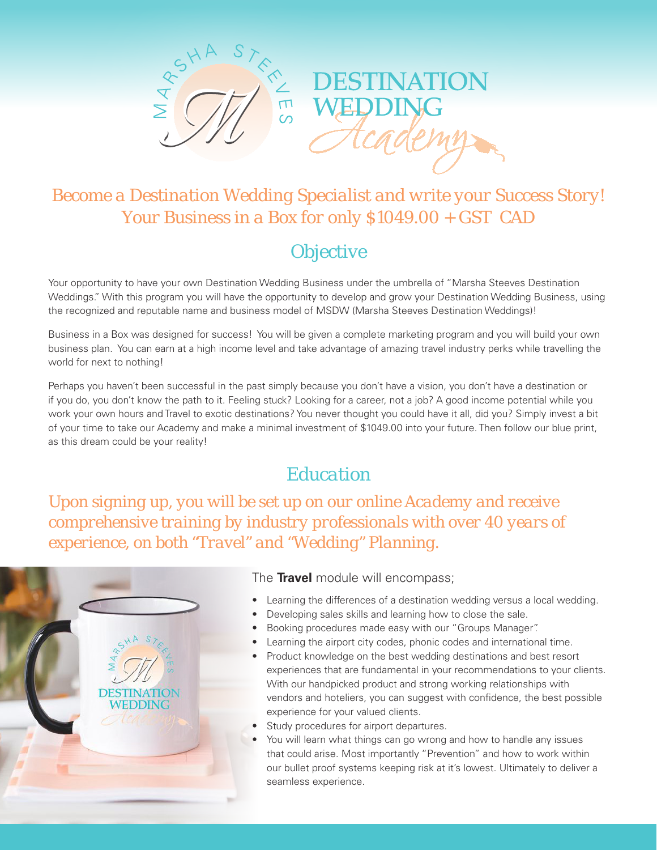



# *Become a Destination Wedding Specialist and write your Success Story! Your Business in a Box for only \$1049.00 + GST CAD*

# *Objective*

Your opportunity to have your own Destination Wedding Business under the umbrella of "Marsha Steeves Destination Weddings." With this program you will have the opportunity to develop and grow your Destination Wedding Business, using the recognized and reputable name and business model of MSDW (Marsha Steeves Destination Weddings)!

Business in a Box was designed for success! You will be given a complete marketing program and you will build your own business plan. You can earn at a high income level and take advantage of amazing travel industry perks while travelling the world for next to nothing!

Perhaps you haven't been successful in the past simply because you don't have a vision, you don't have a destination or if you do, you don't know the path to it. Feeling stuck? Looking for a career, not a job? A good income potential while you work your own hours and Travel to exotic destinations? You never thought you could have it all, did you? Simply invest a bit of your time to take our Academy and make a minimal investment of \$1049.00 into your future. Then follow our blue print, as this dream could be your reality!

# *Education*

*Upon signing up, you will be set up on our online Academy and receive comprehensive training by industry professionals with over 40 years of experience, on both "Travel" and "Wedding" Planning.*



### The **Travel** module will encompass;

- **Learning the differences of a destination wedding versus a local wedding.**
- Developing sales skills and learning how to close the sale.
- Booking procedures made easy with our "Groups Manager".
- Learning the airport city codes, phonic codes and international time.
- Product knowledge on the best wedding destinations and best resort experiences that are fundamental in your recommendations to your clients. With our handpicked product and strong working relationships with vendors and hoteliers, you can suggest with confidence, the best possible experience for your valued clients.
- Study procedures for airport departures.
- You will learn what things can go wrong and how to handle any issues that could arise. Most importantly "Prevention" and how to work within our bullet proof systems keeping risk at it's lowest. Ultimately to deliver a seamless experience.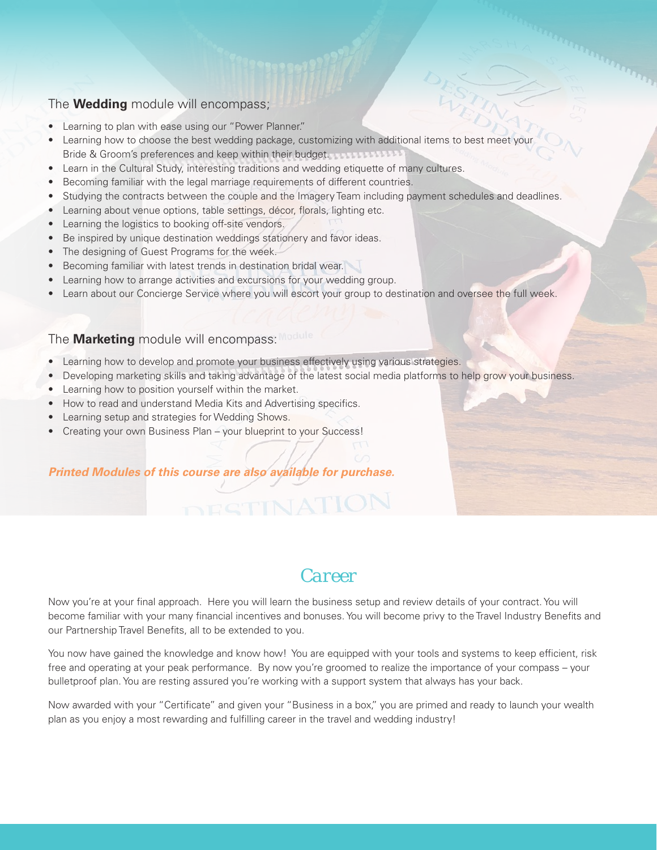### The **Wedding** module will encompass;

- Learning to plan with ease using our "Power Planner."
- • Learning how to choose the best wedding package, customizing with additional items to best meet your Bride & Groom's preferences and keep within their budget.
- Learn in the Cultural Study, interesting traditions and wedding etiquette of many cultures.
- Becoming familiar with the legal marriage requirements of different countries.
- Studying the contracts between the couple and the Imagery Team including payment schedules and deadlines.
- Learning about venue options, table settings, décor, florals, lighting etc.
- Learning the logistics to booking off-site vendors.
- Be inspired by unique destination weddings stationery and favor ideas.
- The designing of Guest Programs for the week.
- Becoming familiar with latest trends in destination bridal wear.
- Learning how to arrange activities and excursions for your wedding group.
- Learn about our Concierge Service where you will escort your group to destination and oversee the full week.

#### The **Marketing** module will encompass:

- • Learning how to develop and promote your business effectively using various strategies.
- • Developing marketing skills and taking advantage of the latest social media platforms to help grow your business.
- Learning how to position yourself within the market.
- How to read and understand Media Kits and Advertising specifics.
- Learning setup and strategies for Wedding Shows.
- Creating your own Business Plan your blueprint to your Success!

#### *Printed Modules of this course are also available for purchase.*

### *Career*

Now you're at your final approach. Here you will learn the business setup and review details of your contract. You will become familiar with your many financial incentives and bonuses. You will become privy to the Travel Industry Benefits and our Partnership Travel Benefits, all to be extended to you.

You now have gained the knowledge and know how! You are equipped with your tools and systems to keep efficient, risk free and operating at your peak performance. By now you're groomed to realize the importance of your compass – your bulletproof plan. You are resting assured you're working with a support system that always has your back.

Now awarded with your "Certificate" and given your "Business in a box," you are primed and ready to launch your wealth plan as you enjoy a most rewarding and fulfilling career in the travel and wedding industry!